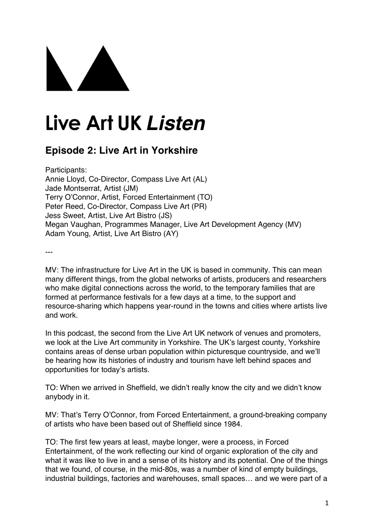## Live Art UK Listen

## **Episode 2: Live Art in Yorkshire**

Participants: Annie Lloyd, Co-Director, Compass Live Art (AL) Jade Montserrat, Artist (JM) Terry O'Connor, Artist, Forced Entertainment (TO) Peter Reed, Co-Director, Compass Live Art (PR) Jess Sweet, Artist, Live Art Bistro (JS) Megan Vaughan, Programmes Manager, Live Art Development Agency (MV) Adam Young, Artist, Live Art Bistro (AY)

---

MV: The infrastructure for Live Art in the UK is based in community. This can mean many different things, from the global networks of artists, producers and researchers who make digital connections across the world, to the temporary families that are formed at performance festivals for a few days at a time, to the support and resource-sharing which happens year-round in the towns and cities where artists live and work.

In this podcast, the second from the Live Art UK network of venues and promoters, we look at the Live Art community in Yorkshire. The UK's largest county, Yorkshire contains areas of dense urban population within picturesque countryside, and we'll be hearing how its histories of industry and tourism have left behind spaces and opportunities for today's artists.

TO: When we arrived in Sheffield, we didn't really know the city and we didn't know anybody in it.

MV: That's Terry O'Connor, from Forced Entertainment, a ground-breaking company of artists who have been based out of Sheffield since 1984.

TO: The first few years at least, maybe longer, were a process, in Forced Entertainment, of the work reflecting our kind of organic exploration of the city and what it was like to live in and a sense of its history and its potential. One of the things that we found, of course, in the mid-80s, was a number of kind of empty buildings, industrial buildings, factories and warehouses, small spaces… and we were part of a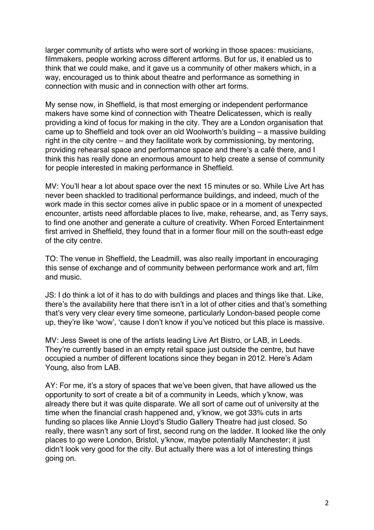larger community of artists who were sort of working in those spaces: musicians, filmmakers, people working across different artforms. But for us, it enabled us to think that we could make, and it gave us a community of other makers which, in a way, encouraged us to think about theatre and performance as something in connection with music and in connection with other art forms.

My sense now, in Sheffield, is that most emerging or independent performance makers have some kind of connection with Theatre Delicatessen, which is really providing a kind of focus for making in the city. They are a London organisation that came up to Sheffield and took over an old Woolworth's building – a massive building right in the city centre – and they facilitate work by commissioning, by mentoring, providing rehearsal space and performance space and there's a café there, and I think this has really done an enormous amount to help create a sense of community for people interested in making performance in Sheffield.

MV: You'll hear a lot about space over the next 15 minutes or so. While Live Art has never been shackled to traditional performance buildings, and indeed, much of the work made in this sector comes alive in public space or in a moment of unexpected encounter, artists need affordable places to live, make, rehearse, and, as Terry says, to find one another and generate a culture of creativity. When Forced Entertainment first arrived in Sheffield, they found that in a former flour mill on the south-east edge of the city centre.

TO: The venue in Sheffield, the Leadmill, was also really important in encouraging this sense of exchange and of community between performance work and art, film and music.

JS: I do think a lot of it has to do with buildings and places and things like that. Like, there's the availability here that there isn't in a lot of other cities and that's something that's very very clear every time someone, particularly London-based people come up, they're like 'wow', 'cause I don't know if you've noticed but this place is massive.

MV: Jess Sweet is one of the artists leading Live Art Bistro, or LAB, in Leeds. They're currently based in an empty retail space just outside the centre, but have occupied a number of different locations since they began in 2012. Here's Adam Young, also from LAB.

AY: For me, it's a story of spaces that we've been given, that have allowed us the opportunity to sort of create a bit of a community in Leeds, which y'know, was already there but it was quite disparate. We all sort of came out of university at the time when the financial crash happened and, y'know, we got 33% cuts in arts funding so places like Annie Lloyd's Studio Gallery Theatre had just closed. So really, there wasn't any sort of first, second rung on the ladder. It looked like the only places to go were London, Bristol, y'know, maybe potentially Manchester; it just didn't look very good for the city. But actually there was a lot of interesting things going on.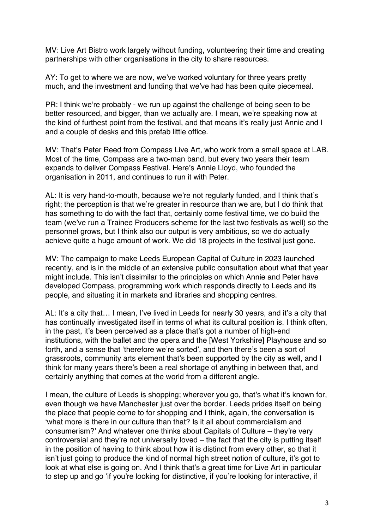MV: Live Art Bistro work largely without funding, volunteering their time and creating partnerships with other organisations in the city to share resources.

AY: To get to where we are now, we've worked voluntary for three years pretty much, and the investment and funding that we've had has been quite piecemeal.

PR: I think we're probably - we run up against the challenge of being seen to be better resourced, and bigger, than we actually are. I mean, we're speaking now at the kind of furthest point from the festival, and that means it's really just Annie and I and a couple of desks and this prefab little office.

MV: That's Peter Reed from Compass Live Art, who work from a small space at LAB. Most of the time, Compass are a two-man band, but every two years their team expands to deliver Compass Festival. Here's Annie Lloyd, who founded the organisation in 2011, and continues to run it with Peter.

AL: It is very hand-to-mouth, because we're not regularly funded, and I think that's right; the perception is that we're greater in resource than we are, but I do think that has something to do with the fact that, certainly come festival time, we do build the team (we've run a Trainee Producers scheme for the last two festivals as well) so the personnel grows, but I think also our output is very ambitious, so we do actually achieve quite a huge amount of work. We did 18 projects in the festival just gone.

MV: The campaign to make Leeds European Capital of Culture in 2023 launched recently, and is in the middle of an extensive public consultation about what that year might include. This isn't dissimilar to the principles on which Annie and Peter have developed Compass, programming work which responds directly to Leeds and its people, and situating it in markets and libraries and shopping centres.

AL: It's a city that… I mean, I've lived in Leeds for nearly 30 years, and it's a city that has continually investigated itself in terms of what its cultural position is. I think often, in the past, it's been perceived as a place that's got a number of high-end institutions, with the ballet and the opera and the [West Yorkshire] Playhouse and so forth, and a sense that 'therefore we're sorted', and then there's been a sort of grassroots, community arts element that's been supported by the city as well, and I think for many years there's been a real shortage of anything in between that, and certainly anything that comes at the world from a different angle.

I mean, the culture of Leeds is shopping; wherever you go, that's what it's known for, even though we have Manchester just over the border. Leeds prides itself on being the place that people come to for shopping and I think, again, the conversation is 'what more is there in our culture than that? Is it all about commercialism and consumerism?' And whatever one thinks about Capitals of Culture – they're very controversial and they're not universally loved – the fact that the city is putting itself in the position of having to think about how it is distinct from every other, so that it isn't just going to produce the kind of normal high street notion of culture, it's got to look at what else is going on. And I think that's a great time for Live Art in particular to step up and go 'if you're looking for distinctive, if you're looking for interactive, if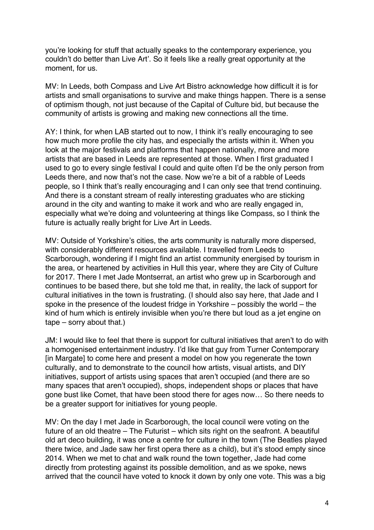you're looking for stuff that actually speaks to the contemporary experience, you couldn't do better than Live Art'. So it feels like a really great opportunity at the moment, for us.

MV: In Leeds, both Compass and Live Art Bistro acknowledge how difficult it is for artists and small organisations to survive and make things happen. There is a sense of optimism though, not just because of the Capital of Culture bid, but because the community of artists is growing and making new connections all the time.

AY: I think, for when LAB started out to now, I think it's really encouraging to see how much more profile the city has, and especially the artists within it. When you look at the major festivals and platforms that happen nationally, more and more artists that are based in Leeds are represented at those. When I first graduated I used to go to every single festival I could and quite often I'd be the only person from Leeds there, and now that's not the case. Now we're a bit of a rabble of Leeds people, so I think that's really encouraging and I can only see that trend continuing. And there is a constant stream of really interesting graduates who are sticking around in the city and wanting to make it work and who are really engaged in, especially what we're doing and volunteering at things like Compass, so I think the future is actually really bright for Live Art in Leeds.

MV: Outside of Yorkshire's cities, the arts community is naturally more dispersed, with considerably different resources available. I travelled from Leeds to Scarborough, wondering if I might find an artist community energised by tourism in the area, or heartened by activities in Hull this year, where they are City of Culture for 2017. There I met Jade Montserrat, an artist who grew up in Scarborough and continues to be based there, but she told me that, in reality, the lack of support for cultural initiatives in the town is frustrating. (I should also say here, that Jade and I spoke in the presence of the loudest fridge in Yorkshire – possibly the world – the kind of hum which is entirely invisible when you're there but loud as a jet engine on tape – sorry about that.)

JM: I would like to feel that there is support for cultural initiatives that aren't to do with a homogenised entertainment industry. I'd like that guy from Turner Contemporary [in Margate] to come here and present a model on how you regenerate the town culturally, and to demonstrate to the council how artists, visual artists, and DIY initiatives, support of artists using spaces that aren't occupied (and there are so many spaces that aren't occupied), shops, independent shops or places that have gone bust like Comet, that have been stood there for ages now… So there needs to be a greater support for initiatives for young people.

MV: On the day I met Jade in Scarborough, the local council were voting on the future of an old theatre – The Futurist – which sits right on the seafront. A beautiful old art deco building, it was once a centre for culture in the town (The Beatles played there twice, and Jade saw her first opera there as a child), but it's stood empty since 2014. When we met to chat and walk round the town together, Jade had come directly from protesting against its possible demolition, and as we spoke, news arrived that the council have voted to knock it down by only one vote. This was a big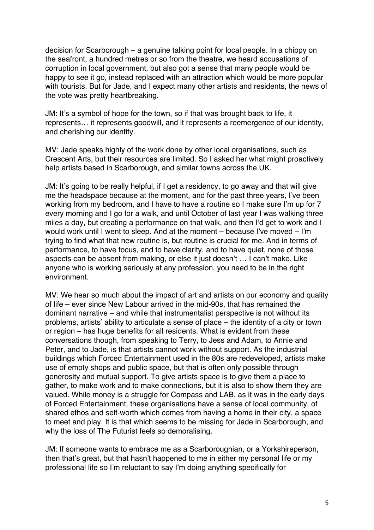decision for Scarborough – a genuine talking point for local people. In a chippy on the seafront, a hundred metres or so from the theatre, we heard accusations of corruption in local government, but also got a sense that many people would be happy to see it go, instead replaced with an attraction which would be more popular with tourists. But for Jade, and I expect many other artists and residents, the news of the vote was pretty heartbreaking.

JM: It's a symbol of hope for the town, so if that was brought back to life, it represents… it represents goodwill, and it represents a reemergence of our identity, and cherishing our identity.

MV: Jade speaks highly of the work done by other local organisations, such as Crescent Arts, but their resources are limited. So I asked her what might proactively help artists based in Scarborough, and similar towns across the UK.

JM: It's going to be really helpful, if I get a residency, to go away and that will give me the headspace because at the moment, and for the past three years, I've been working from my bedroom, and I have to have a routine so I make sure I'm up for 7 every morning and I go for a walk, and until October of last year I was walking three miles a day, but creating a performance on that walk, and then I'd get to work and I would work until I went to sleep. And at the moment – because I've moved – I'm trying to find what that new routine is, but routine is crucial for me. And in terms of performance, to have focus, and to have clarity, and to have quiet, none of those aspects can be absent from making, or else it just doesn't … I can't make. Like anyone who is working seriously at any profession, you need to be in the right environment.

MV: We hear so much about the impact of art and artists on our economy and quality of life – ever since New Labour arrived in the mid-90s, that has remained the dominant narrative – and while that instrumentalist perspective is not without its problems, artists' ability to articulate a sense of place – the identity of a city or town or region – has huge benefits for all residents. What is evident from these conversations though, from speaking to Terry, to Jess and Adam, to Annie and Peter, and to Jade, is that artists cannot work without support. As the industrial buildings which Forced Entertainment used in the 80s are redeveloped, artists make use of empty shops and public space, but that is often only possible through generosity and mutual support. To give artists space is to give them a place to gather, to make work and to make connections, but it is also to show them they are valued. While money is a struggle for Compass and LAB, as it was in the early days of Forced Entertainment, these organisations have a sense of local community, of shared ethos and self-worth which comes from having a home in their city, a space to meet and play. It is that which seems to be missing for Jade in Scarborough, and why the loss of The Futurist feels so demoralising.

JM: If someone wants to embrace me as a Scarboroughian, or a Yorkshireperson, then that's great, but that hasn't happened to me in either my personal life or my professional life so I'm reluctant to say I'm doing anything specifically for